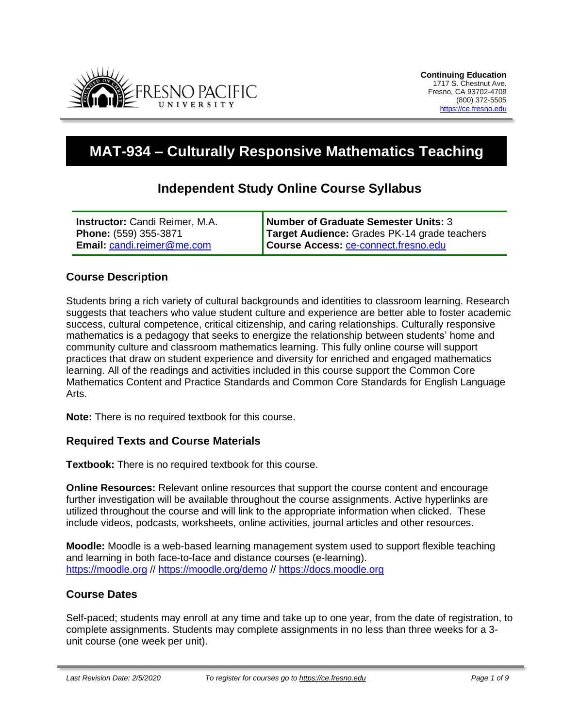

# **MAT-934 – Culturally Responsive Mathematics Teaching**

## **Independent Study Online Course Syllabus**

| <b>Instructor:</b> Candi Reimer, M.A. | Number of Graduate Semester Units: 3         |
|---------------------------------------|----------------------------------------------|
| Phone: (559) 355-3871                 | Target Audience: Grades PK-14 grade teachers |
| <b>Email: candi.reimer@me.com</b>     | Course Access: ce-connect.fresno.edu         |

#### **Course Description**

Students bring a rich variety of cultural backgrounds and identities to classroom learning. Research suggests that teachers who value student culture and experience are better able to foster academic success, cultural competence, critical citizenship, and caring relationships. Culturally responsive mathematics is a pedagogy that seeks to energize the relationship between students' home and community culture and classroom mathematics learning. This fully online course will support practices that draw on student experience and diversity for enriched and engaged mathematics learning. All of the readings and activities included in this course support the Common Core Mathematics Content and Practice Standards and Common Core Standards for English Language Arts.

**Note:** There is no required textbook for this course.

#### **Required Texts and Course Materials**

**Textbook:** There is no required textbook for this course.

**Online Resources:** Relevant online resources that support the course content and encourage further investigation will be available throughout the course assignments. Active hyperlinks are utilized throughout the course and will link to the appropriate information when clicked. These include videos, podcasts, worksheets, online activities, journal articles and other resources.

**Moodle:** Moodle is a web-based learning management system used to support flexible teaching and learning in both face-to-face and distance courses (e-learning). [https://moodle.org](https://moodle.org/) // <https://moodle.org/demo> // [https://docs.moodle.org](https://docs.moodle.org/)

#### **Course Dates**

Self-paced; students may enroll at any time and take up to one year, from the date of registration, to complete assignments. Students may complete assignments in no less than three weeks for a 3 unit course (one week per unit).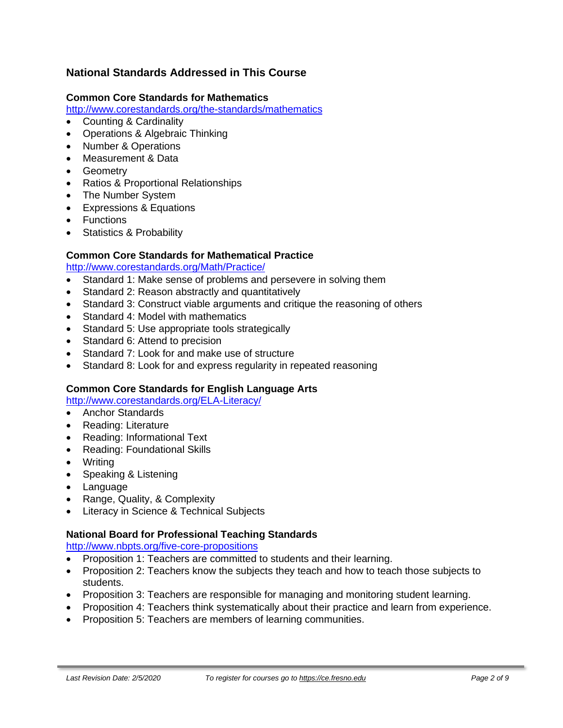## **National Standards Addressed in This Course**

#### **Common Core Standards for Mathematics**

<http://www.corestandards.org/the-standards/mathematics>

- Counting & Cardinality
- Operations & Algebraic Thinking
- Number & Operations
- Measurement & Data
- Geometry
- Ratios & Proportional Relationships
- The Number System
- Expressions & Equations
- Functions
- Statistics & Probability

#### **Common Core Standards for Mathematical Practice**

<http://www.corestandards.org/Math/Practice/>

- Standard 1: Make sense of problems and persevere in solving them
- Standard 2: Reason abstractly and quantitatively
- Standard 3: Construct viable arguments and critique the reasoning of others
- Standard 4: Model with mathematics
- Standard 5: Use appropriate tools strategically
- Standard 6: Attend to precision
- Standard 7: Look for and make use of structure
- Standard 8: Look for and express regularity in repeated reasoning

#### **Common Core Standards for English Language Arts**

<http://www.corestandards.org/ELA-Literacy/>

- Anchor Standards
- Reading: Literature
- Reading: Informational Text
- Reading: Foundational Skills
- Writing
- Speaking & Listening
- Language
- Range, Quality, & Complexity
- Literacy in Science & Technical Subjects

#### **National Board for Professional Teaching Standards**

<http://www.nbpts.org/five-core-propositions>

- Proposition 1: Teachers are committed to students and their learning.
- Proposition 2: Teachers know the subjects they teach and how to teach those subjects to students.
- Proposition 3: Teachers are responsible for managing and monitoring student learning.
- Proposition 4: Teachers think systematically about their practice and learn from experience.
- Proposition 5: Teachers are members of learning communities.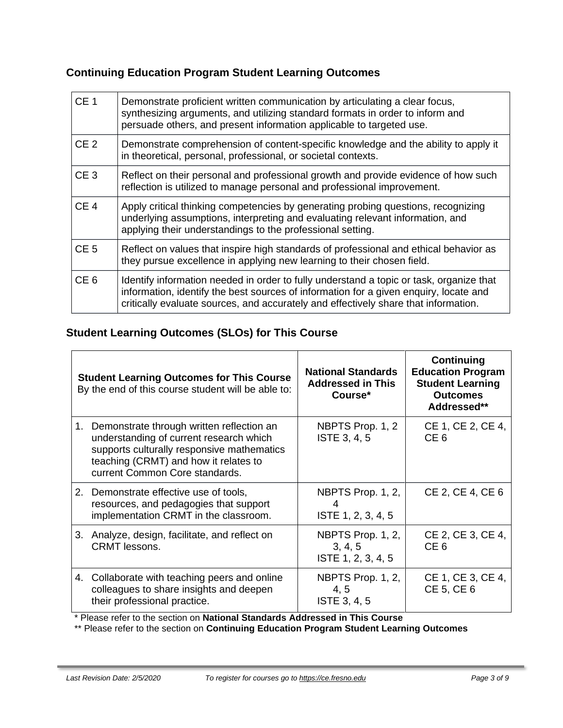# **Continuing Education Program Student Learning Outcomes**

| CE <sub>1</sub> | Demonstrate proficient written communication by articulating a clear focus,<br>synthesizing arguments, and utilizing standard formats in order to inform and<br>persuade others, and present information applicable to targeted use.                                    |  |  |
|-----------------|-------------------------------------------------------------------------------------------------------------------------------------------------------------------------------------------------------------------------------------------------------------------------|--|--|
| CE <sub>2</sub> | Demonstrate comprehension of content-specific knowledge and the ability to apply it<br>in theoretical, personal, professional, or societal contexts.                                                                                                                    |  |  |
| CE <sub>3</sub> | Reflect on their personal and professional growth and provide evidence of how such<br>reflection is utilized to manage personal and professional improvement.                                                                                                           |  |  |
| CE <sub>4</sub> | Apply critical thinking competencies by generating probing questions, recognizing<br>underlying assumptions, interpreting and evaluating relevant information, and<br>applying their understandings to the professional setting.                                        |  |  |
| CE <sub>5</sub> | Reflect on values that inspire high standards of professional and ethical behavior as<br>they pursue excellence in applying new learning to their chosen field.                                                                                                         |  |  |
| CE <sub>6</sub> | Identify information needed in order to fully understand a topic or task, organize that<br>information, identify the best sources of information for a given enquiry, locate and<br>critically evaluate sources, and accurately and effectively share that information. |  |  |

## **Student Learning Outcomes (SLOs) for This Course**

| <b>Student Learning Outcomes for This Course</b><br>By the end of this course student will be able to:                                                                                                           | <b>National Standards</b><br><b>Addressed in This</b><br>Course* | Continuing<br><b>Education Program</b><br><b>Student Learning</b><br><b>Outcomes</b><br>Addressed** |
|------------------------------------------------------------------------------------------------------------------------------------------------------------------------------------------------------------------|------------------------------------------------------------------|-----------------------------------------------------------------------------------------------------|
| 1. Demonstrate through written reflection an<br>understanding of current research which<br>supports culturally responsive mathematics<br>teaching (CRMT) and how it relates to<br>current Common Core standards. | NBPTS Prop. 1, 2<br>ISTE 3, 4, 5                                 | CE 1, CE 2, CE 4,<br>CE 6                                                                           |
| 2. Demonstrate effective use of tools,<br>resources, and pedagogies that support<br>implementation CRMT in the classroom.                                                                                        | NBPTS Prop. 1, 2,<br>ISTE 1, 2, 3, 4, 5                          | CE 2, CE 4, CE 6                                                                                    |
| 3. Analyze, design, facilitate, and reflect on<br><b>CRMT</b> lessons.                                                                                                                                           | NBPTS Prop. 1, 2,<br>3, 4, 5<br>ISTE 1, 2, 3, 4, 5               | CE 2, CE 3, CE 4,<br>CE <sub>6</sub>                                                                |
| 4. Collaborate with teaching peers and online<br>colleagues to share insights and deepen<br>their professional practice.                                                                                         | NBPTS Prop. 1, 2,<br>4, 5<br>ISTE 3, 4, 5                        | CE 1, CE 3, CE 4,<br>CE 5, CE 6                                                                     |

\* Please refer to the section on **National Standards Addressed in This Course**

\*\* Please refer to the section on **Continuing Education Program Student Learning Outcomes**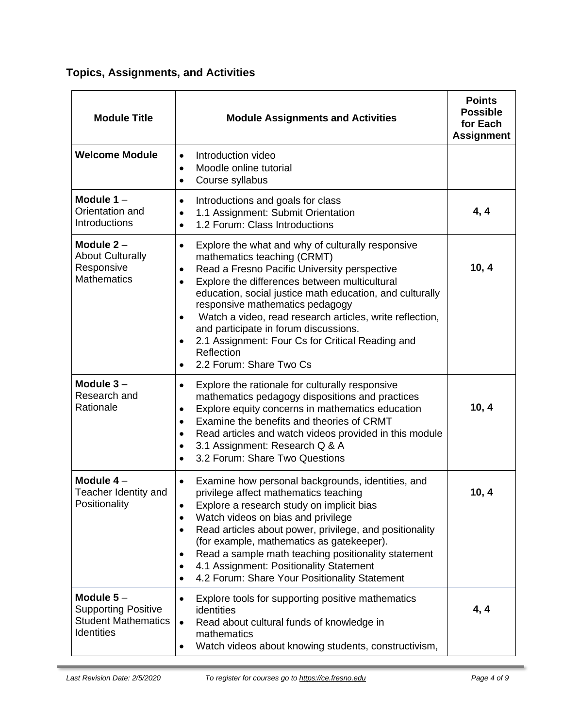**Topics, Assignments, and Activities**

| <b>Module Title</b>                                                                   | <b>Module Assignments and Activities</b>                                                                                                                                                                                                                                                                                                                                                                                                                                                                                  |       |
|---------------------------------------------------------------------------------------|---------------------------------------------------------------------------------------------------------------------------------------------------------------------------------------------------------------------------------------------------------------------------------------------------------------------------------------------------------------------------------------------------------------------------------------------------------------------------------------------------------------------------|-------|
| <b>Welcome Module</b>                                                                 | Introduction video<br>$\bullet$<br>Moodle online tutorial<br>$\bullet$<br>Course syllabus<br>$\bullet$                                                                                                                                                                                                                                                                                                                                                                                                                    |       |
| Module 1-<br>Orientation and<br>Introductions                                         | Introductions and goals for class<br>$\bullet$<br>1.1 Assignment: Submit Orientation<br>$\bullet$<br>1.2 Forum: Class Introductions<br>$\bullet$                                                                                                                                                                                                                                                                                                                                                                          | 4, 4  |
| Module $2-$<br><b>About Culturally</b><br>Responsive<br><b>Mathematics</b>            | Explore the what and why of culturally responsive<br>$\bullet$<br>mathematics teaching (CRMT)<br>Read a Fresno Pacific University perspective<br>$\bullet$<br>Explore the differences between multicultural<br>education, social justice math education, and culturally<br>responsive mathematics pedagogy<br>Watch a video, read research articles, write reflection,<br>$\bullet$<br>and participate in forum discussions.<br>2.1 Assignment: Four Cs for Critical Reading and<br>Reflection<br>2.2 Forum: Share Two Cs | 10, 4 |
| Module $3-$<br>Research and<br>Rationale                                              | Explore the rationale for culturally responsive<br>$\bullet$<br>mathematics pedagogy dispositions and practices<br>Explore equity concerns in mathematics education<br>$\bullet$<br>Examine the benefits and theories of CRMT<br>$\bullet$<br>Read articles and watch videos provided in this module<br>$\bullet$<br>3.1 Assignment: Research Q & A<br>$\bullet$<br>3.2 Forum: Share Two Questions                                                                                                                        | 10, 4 |
| Module $4-$<br>Teacher Identity and<br>Positionality                                  | Examine how personal backgrounds, identities, and<br>privilege affect mathematics teaching<br>Explore a research study on implicit bias<br>$\bullet$<br>Watch videos on bias and privilege<br>Read articles about power, privilege, and positionality<br>$\bullet$<br>(for example, mathematics as gatekeeper).<br>Read a sample math teaching positionality statement<br>٠<br>4.1 Assignment: Positionality Statement<br>4.2 Forum: Share Your Positionality Statement<br>$\bullet$                                      | 10, 4 |
| Module $5-$<br><b>Supporting Positive</b><br><b>Student Mathematics</b><br>Identities | Explore tools for supporting positive mathematics<br>$\bullet$<br>identities<br>Read about cultural funds of knowledge in<br>$\bullet$<br>mathematics<br>Watch videos about knowing students, constructivism,                                                                                                                                                                                                                                                                                                             | 4, 4  |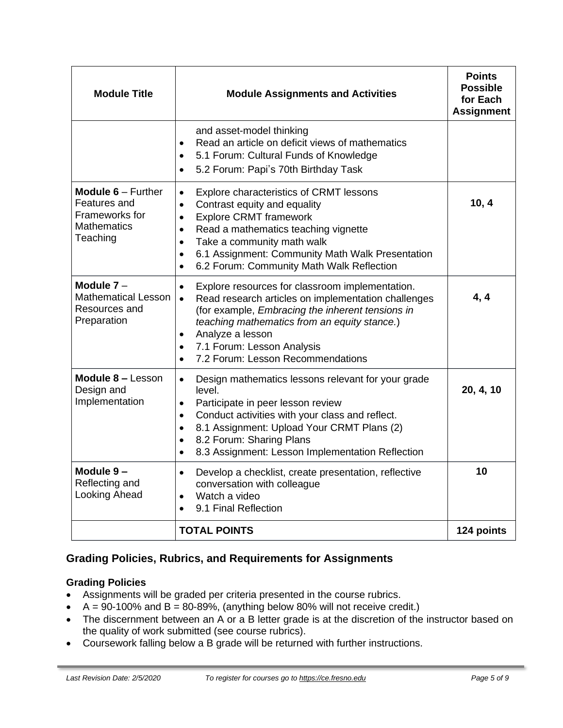| <b>Module Title</b>                                                                                        | <b>Module Assignments and Activities</b>                                                                                                                                                                                                                                                                                                                                   | <b>Points</b><br><b>Possible</b><br>for Each<br><b>Assignment</b> |
|------------------------------------------------------------------------------------------------------------|----------------------------------------------------------------------------------------------------------------------------------------------------------------------------------------------------------------------------------------------------------------------------------------------------------------------------------------------------------------------------|-------------------------------------------------------------------|
|                                                                                                            | and asset-model thinking<br>Read an article on deficit views of mathematics<br>$\bullet$<br>5.1 Forum: Cultural Funds of Knowledge<br>$\bullet$<br>5.2 Forum: Papi's 70th Birthday Task<br>$\bullet$                                                                                                                                                                       |                                                                   |
| <b>Module <math>6 -</math> Further</b><br>Features and<br>Frameworks for<br><b>Mathematics</b><br>Teaching | Explore characteristics of CRMT lessons<br>$\bullet$<br>Contrast equity and equality<br>$\bullet$<br><b>Explore CRMT framework</b><br>$\bullet$<br>Read a mathematics teaching vignette<br>$\bullet$<br>Take a community math walk<br>$\bullet$<br>6.1 Assignment: Community Math Walk Presentation<br>$\bullet$<br>6.2 Forum: Community Math Walk Reflection<br>$\bullet$ | 10, 4                                                             |
| Module $7 -$<br><b>Mathematical Lesson</b><br>Resources and<br>Preparation                                 | Explore resources for classroom implementation.<br>$\bullet$<br>Read research articles on implementation challenges<br>(for example, Embracing the inherent tensions in<br>teaching mathematics from an equity stance.)<br>Analyze a lesson<br>$\bullet$<br>7.1 Forum: Lesson Analysis<br>$\bullet$<br>7.2 Forum: Lesson Recommendations<br>$\bullet$                      | 4, 4                                                              |
| Module 8 - Lesson<br>Design and<br>Implementation                                                          | Design mathematics lessons relevant for your grade<br>$\bullet$<br>level.<br>Participate in peer lesson review<br>$\bullet$<br>Conduct activities with your class and reflect.<br>$\bullet$<br>8.1 Assignment: Upload Your CRMT Plans (2)<br>$\bullet$<br>8.2 Forum: Sharing Plans<br>$\bullet$<br>8.3 Assignment: Lesson Implementation Reflection<br>$\bullet$           | 20, 4, 10                                                         |
| Module 9-<br>Reflecting and<br>Looking Ahead                                                               | Develop a checklist, create presentation, reflective<br>$\bullet$<br>conversation with colleague<br>Watch a video<br>9.1 Final Reflection<br>$\bullet$                                                                                                                                                                                                                     | 10                                                                |
|                                                                                                            | <b>TOTAL POINTS</b>                                                                                                                                                                                                                                                                                                                                                        | 124 points                                                        |

## **Grading Policies, Rubrics, and Requirements for Assignments**

#### **Grading Policies**

- Assignments will be graded per criteria presented in the course rubrics.
- $A = 90-100\%$  and  $B = 80-89\%$ , (anything below 80% will not receive credit.)
- The discernment between an A or a B letter grade is at the discretion of the instructor based on the quality of work submitted (see course rubrics).
- Coursework falling below a B grade will be returned with further instructions.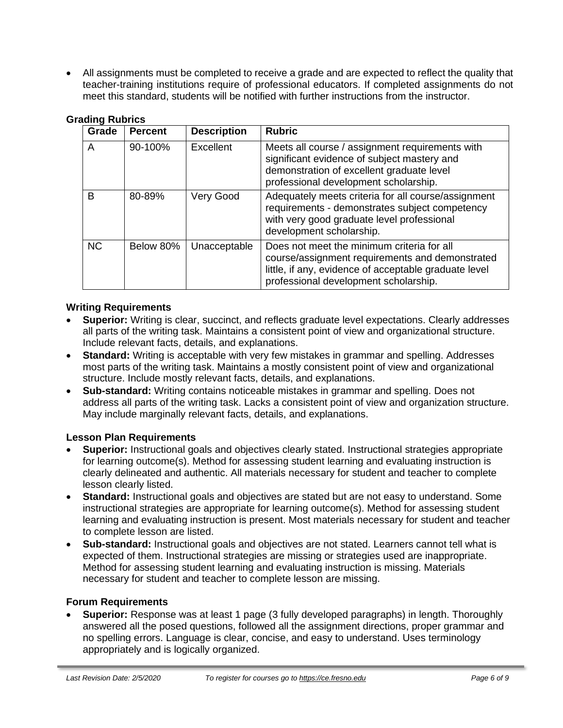• All assignments must be completed to receive a grade and are expected to reflect the quality that teacher-training institutions require of professional educators. If completed assignments do not meet this standard, students will be notified with further instructions from the instructor.

| Grade     | <b>Percent</b> | <b>Description</b> | <b>Rubric</b>                                                                                                                                                                                   |
|-----------|----------------|--------------------|-------------------------------------------------------------------------------------------------------------------------------------------------------------------------------------------------|
| A         | 90-100%        | Excellent          | Meets all course / assignment requirements with<br>significant evidence of subject mastery and<br>demonstration of excellent graduate level<br>professional development scholarship.            |
| B         | 80-89%         | Very Good          | Adequately meets criteria for all course/assignment<br>requirements - demonstrates subject competency<br>with very good graduate level professional<br>development scholarship.                 |
| <b>NC</b> | Below 80%      | Unacceptable       | Does not meet the minimum criteria for all<br>course/assignment requirements and demonstrated<br>little, if any, evidence of acceptable graduate level<br>professional development scholarship. |

#### **Grading Rubrics**

#### **Writing Requirements**

- **Superior:** Writing is clear, succinct, and reflects graduate level expectations. Clearly addresses all parts of the writing task. Maintains a consistent point of view and organizational structure. Include relevant facts, details, and explanations.
- **Standard:** Writing is acceptable with very few mistakes in grammar and spelling. Addresses most parts of the writing task. Maintains a mostly consistent point of view and organizational structure. Include mostly relevant facts, details, and explanations.
- **Sub-standard:** Writing contains noticeable mistakes in grammar and spelling. Does not address all parts of the writing task. Lacks a consistent point of view and organization structure. May include marginally relevant facts, details, and explanations.

#### **Lesson Plan Requirements**

- **Superior:** Instructional goals and objectives clearly stated. Instructional strategies appropriate for learning outcome(s). Method for assessing student learning and evaluating instruction is clearly delineated and authentic. All materials necessary for student and teacher to complete lesson clearly listed.
- **Standard:** Instructional goals and objectives are stated but are not easy to understand. Some instructional strategies are appropriate for learning outcome(s). Method for assessing student learning and evaluating instruction is present. Most materials necessary for student and teacher to complete lesson are listed.
- **Sub-standard:** Instructional goals and objectives are not stated. Learners cannot tell what is expected of them. Instructional strategies are missing or strategies used are inappropriate. Method for assessing student learning and evaluating instruction is missing. Materials necessary for student and teacher to complete lesson are missing.

#### **Forum Requirements**

• **Superior:** Response was at least 1 page (3 fully developed paragraphs) in length. Thoroughly answered all the posed questions, followed all the assignment directions, proper grammar and no spelling errors. Language is clear, concise, and easy to understand. Uses terminology appropriately and is logically organized.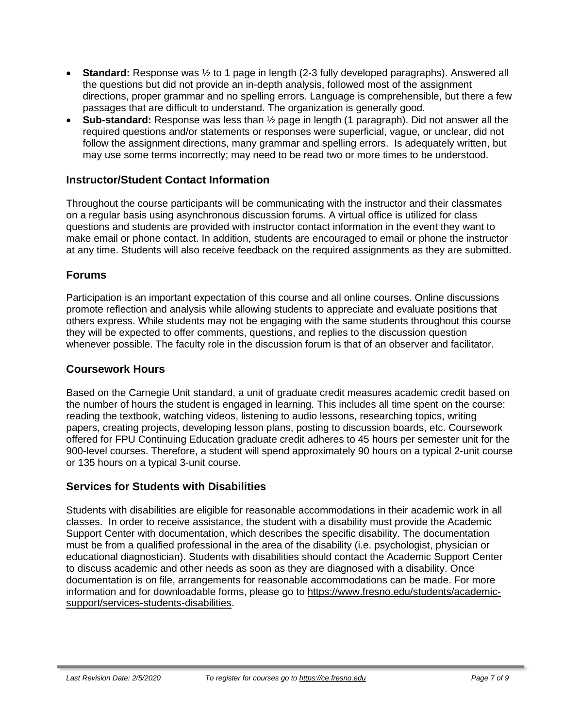- **Standard:** Response was ½ to 1 page in length (2-3 fully developed paragraphs). Answered all the questions but did not provide an in-depth analysis, followed most of the assignment directions, proper grammar and no spelling errors. Language is comprehensible, but there a few passages that are difficult to understand. The organization is generally good.
- **Sub-standard:** Response was less than ½ page in length (1 paragraph). Did not answer all the required questions and/or statements or responses were superficial, vague, or unclear, did not follow the assignment directions, many grammar and spelling errors. Is adequately written, but may use some terms incorrectly; may need to be read two or more times to be understood.

#### **Instructor/Student Contact Information**

Throughout the course participants will be communicating with the instructor and their classmates on a regular basis using asynchronous discussion forums. A virtual office is utilized for class questions and students are provided with instructor contact information in the event they want to make email or phone contact. In addition, students are encouraged to email or phone the instructor at any time. Students will also receive feedback on the required assignments as they are submitted.

#### **Forums**

Participation is an important expectation of this course and all online courses. Online discussions promote reflection and analysis while allowing students to appreciate and evaluate positions that others express. While students may not be engaging with the same students throughout this course they will be expected to offer comments, questions, and replies to the discussion question whenever possible. The faculty role in the discussion forum is that of an observer and facilitator.

#### **Coursework Hours**

Based on the Carnegie Unit standard, a unit of graduate credit measures academic credit based on the number of hours the student is engaged in learning. This includes all time spent on the course: reading the textbook, watching videos, listening to audio lessons, researching topics, writing papers, creating projects, developing lesson plans, posting to discussion boards, etc. Coursework offered for FPU Continuing Education graduate credit adheres to 45 hours per semester unit for the 900-level courses. Therefore, a student will spend approximately 90 hours on a typical 2-unit course or 135 hours on a typical 3-unit course.

#### **Services for Students with Disabilities**

Students with disabilities are eligible for reasonable accommodations in their academic work in all classes. In order to receive assistance, the student with a disability must provide the Academic Support Center with documentation, which describes the specific disability. The documentation must be from a qualified professional in the area of the disability (i.e. psychologist, physician or educational diagnostician). Students with disabilities should contact the Academic Support Center to discuss academic and other needs as soon as they are diagnosed with a disability. Once documentation is on file, arrangements for reasonable accommodations can be made. For more information and for downloadable forms, please go to [https://www.fresno.edu/students/academic](https://www.fresno.edu/students/academic-support/services-students-disabilities)[support/services-students-disabilities.](https://www.fresno.edu/students/academic-support/services-students-disabilities)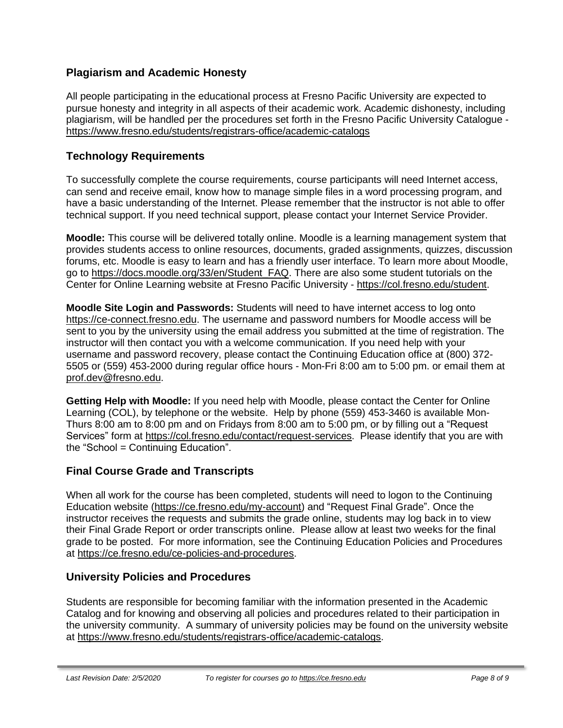## **Plagiarism and Academic Honesty**

All people participating in the educational process at Fresno Pacific University are expected to pursue honesty and integrity in all aspects of their academic work. Academic dishonesty, including plagiarism, will be handled per the procedures set forth in the Fresno Pacific University Catalogue <https://www.fresno.edu/students/registrars-office/academic-catalogs>

## **Technology Requirements**

To successfully complete the course requirements, course participants will need Internet access, can send and receive email, know how to manage simple files in a word processing program, and have a basic understanding of the Internet. Please remember that the instructor is not able to offer technical support. If you need technical support, please contact your Internet Service Provider.

**Moodle:** This course will be delivered totally online. Moodle is a learning management system that provides students access to online resources, documents, graded assignments, quizzes, discussion forums, etc. Moodle is easy to learn and has a friendly user interface. To learn more about Moodle, go to [https://docs.moodle.org/33/en/Student\\_FAQ.](https://docs.moodle.org/33/en/Student_FAQ) There are also some student tutorials on the Center for Online Learning website at Fresno Pacific University - [https://col.fresno.edu/student.](https://col.fresno.edu/student)

**Moodle Site Login and Passwords:** Students will need to have internet access to log onto [https://ce-connect.fresno.edu.](https://ce-connect.fresno.edu/) The username and password numbers for Moodle access will be sent to you by the university using the email address you submitted at the time of registration. The instructor will then contact you with a welcome communication. If you need help with your username and password recovery, please contact the Continuing Education office at (800) 372- 5505 or (559) 453-2000 during regular office hours - Mon-Fri 8:00 am to 5:00 pm. or email them at [prof.dev@fresno.edu.](mailto:prof.dev@fresno.edu)

**Getting Help with Moodle:** If you need help with Moodle, please contact the Center for Online Learning (COL), by telephone or the website. Help by phone (559) 453-3460 is available Mon-Thurs 8:00 am to 8:00 pm and on Fridays from 8:00 am to 5:00 pm, or by filling out a "Request Services" form at [https://col.fresno.edu/contact/request-services.](https://col.fresno.edu/contact/request-services) Please identify that you are with the "School = Continuing Education".

### **Final Course Grade and Transcripts**

When all work for the course has been completed, students will need to logon to the Continuing Education website [\(https://ce.fresno.edu/my-account\)](https://ce.fresno.edu/my-account) and "Request Final Grade". Once the instructor receives the requests and submits the grade online, students may log back in to view their Final Grade Report or order transcripts online. Please allow at least two weeks for the final grade to be posted. For more information, see the Continuing Education Policies and Procedures at [https://ce.fresno.edu/ce-policies-and-procedures.](https://ce.fresno.edu/ce-policies-and-procedures)

### **University Policies and Procedures**

Students are responsible for becoming familiar with the information presented in the Academic Catalog and for knowing and observing all policies and procedures related to their participation in the university community. A summary of university policies may be found on the university website at [https://www.fresno.edu/students/registrars-office/academic-catalogs.](https://www.fresno.edu/students/registrars-office/academic-catalogs)